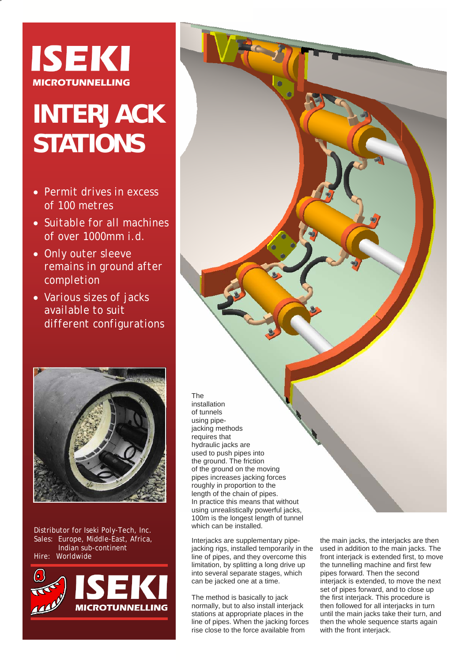

## **INTERJACK STATIONS**

- *Permit drives in excess of 100 metres*
- *Suitable for all machines of over 1000mm i.d.*
- *Only outer sleeve remains in ground after completion*
- *Various sizes of jacks available to suit different configurations*



Distributor for Iseki Poly-Tech, Inc. Sales: Europe, Middle-East, Africa, Indian sub-continent Hire: Worldwide



## installation of tunnels using pipejacking methods requires that hydraulic jacks are used to push pipes into the ground. The friction of the ground on the moving pipes increases jacking forces roughly in proportion to the length of the chain of pipes. In practice this means that without using unrealistically powerful jacks, 100m is the longest length of tunnel which can be installed.

Interjacks are supplementary pipejacking rigs, installed temporarily in the line of pipes, and they overcome this limitation, by splitting a long drive up into several separate stages, which can be jacked one at a time.

The

The method is basically to jack normally, but to also install interjack stations at appropriate places in the line of pipes. When the jacking forces rise close to the force available from

the main jacks, the interjacks are then used in addition to the main jacks. The front interjack is extended first, to move the tunnelling machine and first few pipes forward. Then the second interjack is extended, to move the next set of pipes forward, and to close up the first interjack. This procedure is then followed for all interjacks in turn until the main jacks take their turn, and then the whole sequence starts again with the front interjack.